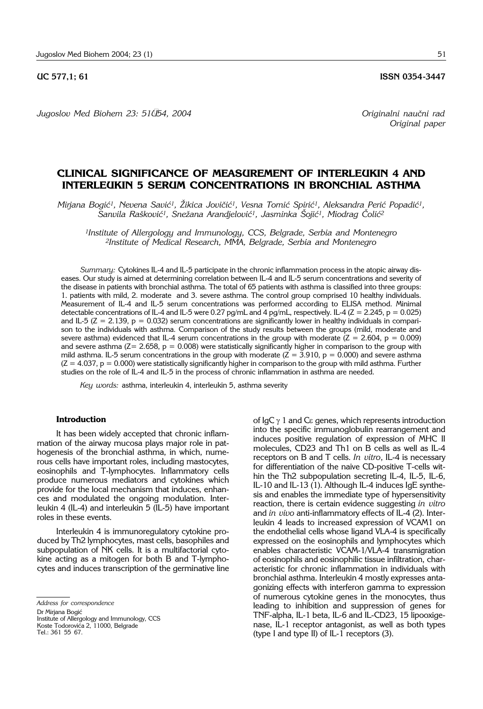*Jugoslov Med Biohem 23: 51–54, 2004 Originalni nau~ni rad*

*Original paper*

# **CLINICAL SIGNIFICANCE OF MEASUREMENT OF INTERLEUKIN 4 AND INTERLEUKIN 5 SERUM CONCENTRATIONS IN BRONCHIAL ASTHMA**

Mirjana Bogić<sup>1</sup>, Nevena Savić<sup>1</sup>, Žikica Jovičić<sup>1</sup>, Vesna Tomić Spirić<sup>1</sup>, Aleksandra Perić Popadić<sup>1</sup>, Sanvila Rašković<sup>1</sup>, Snežana Arandjelović<sup>1</sup>, Jasminka Šojić<sup>1</sup>, Miodrag Čolić<sup>2</sup>

*1Institute of Allergology and Immunology, CCS, Belgrade, Serbia and Montenegro 2Institute of Medical Research, MMA, Belgrade, Serbia and Montenegro*

*Summary:* Cytokines IL-4 and IL-5 participate in the chronic inflammation process in the atopic airway diseases. Our study is aimed at determining correlation between IL-4 and IL-5 serum concentrations and severity of the disease in patients with bronchial asthma. The total of 65 patients with asthma is classified into three groups: 1. patients with mild, 2. moderate and 3. severe asthma. The control group comprised 10 healthy individuals. Measurement of IL-4 and IL-5 serum concentrations was performed according to ELISA method. Minimal detectable concentrations of IL-4 and IL-5 were 0.27 pg/mL and 4 pg/mL, respectively. IL-4 (Z = 2.245, p = 0.025) and IL-5 ( $Z = 2.139$ ,  $p = 0.032$ ) serum concentrations are significantly lower in healthy individuals in comparison to the individuals with asthma. Comparison of the study results between the groups (mild, moderate and severe asthma) evidenced that IL-4 serum concentrations in the group with moderate  $(Z = 2.604, p = 0.009)$ and severe asthma ( $Z = 2.658$ ,  $p = 0.008$ ) were statistically significantly higher in comparison to the group with mild asthma. IL-5 serum concentrations in the group with moderate ( $Z = 3.910$ ,  $p = 0.000$ ) and severe asthma  $(Z = 4.037, p = 0.000)$  were statistically significantly higher in comparison to the group with mild asthma. Further studies on the role of IL-4 and IL-5 in the process of chronic inflammation in asthma are needed.

*Key words:* asthma, interleukin 4, interleukin 5, asthma severity

## **Introduction**

It has been widely accepted that chronic inflammation of the airway mucosa plays major role in pathogenesis of the bronchial asthma, in which, numerous cells have important roles, including mastocytes, eosinophils and T-lymphocytes. Inflammatory cells produce numerous mediators and cytokines which provide for the local mechanism that induces, enhances and modulated the ongoing modulation. Interleukin 4 (IL-4) and interleukin 5 (IL-5) have important roles in these events.

Interleukin 4 is immunoregulatory cytokine produced by Th2 lymphocytes, mast cells, basophiles and subpopulation of NK cells. It is a multifactorial cytokine acting as a mitogen for both B and T-lymphocytes and induces transcription of the germinative line

Tel.: 361 55 67.

of  $I_qC_\gamma$  1 and  $C_\epsilon$  genes, which represents introduction into the specific immunoglobulin rearrangement and induces positive regulation of expression of MHC II molecules, CD23 and Th1 on B cells as well as IL-4 receptors on B and T cells. *In vitro*, IL-4 is necessary for differentiation of the naive CD-positive T-cells within the Th2 subpopulation secreting IL-4, IL-5, IL-6, IL-10 and IL-13 (1). Although IL-4 induces IgE synthesis and enables the immediate type of hypersensitivity reaction, there is certain evidence suggesting *in vitro* and *in vivo* anti-inflammatory effects of IL-4 (2). Interleukin 4 leads to increased expression of VCAM1 on the endothelial cells whose ligand VLA-4 is specifically expressed on the eosinophils and lymphocytes which enables characteristic VCAM-1/VLA-4 transmigration of eosinophils and eosinophilic tissue infiltration, characteristic for chronic inflammation in individuals with bronchial asthma. Interleukin 4 mostly expresses antagonizing effects with interferon gamma to expression of numerous cytokine genes in the monocytes, thus leading to inhibition and suppression of genes for TNF-alpha, IL-1 beta, IL-6 and IL-CD23, 15 lipooxigenase, IL-1 receptor antagonist, as well as both types (type I and type II) of  $IL-1$  receptors  $(3)$ .

*Address for correspondence*

Dr Mirjana Bogić

Institute of Allergology and Immunology, CCS Koste Todorovića 2, 11000, Belgrade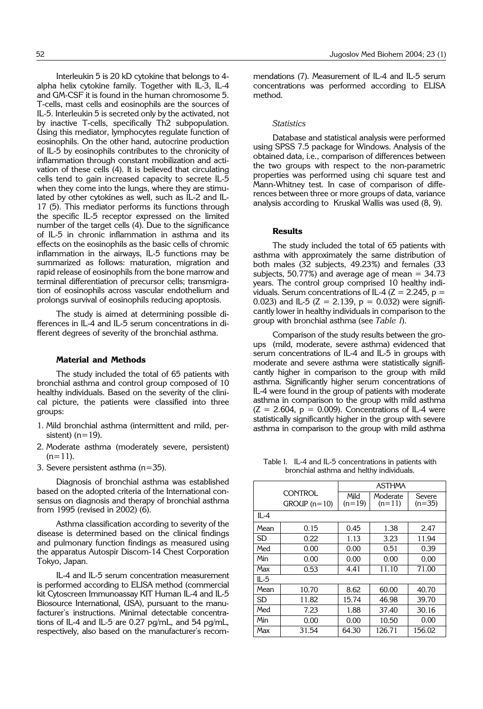Interleukin 5 is 20 kD cytokine that belongs to 4 alpha helix cytokine family. Together with IL-3, IL-4 and GM-CSF it is found in the human chromosome 5. T-cells, mast cells and eosinophils are the sources of IL-5. Interleukin 5 is secreted only by the activated, not by inactive T-cells, specifically Th2 subpopulation. Using this mediator, lymphocytes regulate function of eosinophils. On the other hand, autocrine production of IL-5 by eosinophils contributes to the chronicity of inflammation through constant mobilization and activation of these cells (4). It is believed that circulating cells tend to gain increased capacity to secrete IL-5 when they come into the lungs, where they are stimulated by other cytokines as well, such as IL-2 and IL-17 (5). This mediator performs its functions through the specific IL-5 receptor expressed on the limited number of the target cells (4). Due to the significance of IL-5 in chronic inflammation in asthma and its effects on the eosinophils as the basic cells of chromic inflammation in the airways, IL-5 functions may be summarized as follows: maturation, migration and rapid release of eosinophils from the bone marrow and terminal differentiation of precursor cells; transmigration of eosinophils across vascular endothelium and prolongs survival of eosinophils reducing apoptosis.

The study is aimed at determining possible differences in IL-4 and IL-5 serum concentrations in different degrees of severity of the bronchial asthma.

### **Material and Methods**

The study included the total of 65 patients with bronchial asthma and control group composed of 10 healthy individuals. Based on the severity of the clinical picture, the patients were classified into three groups:

- 1. Mild bronchial asthma (intermittent and mild, persistent)  $(n=19)$ .
- 2. Moderate asthma (moderately severe, persistent)  $(n=11)$ .
- 3. Severe persistent asthma (n=35).

Diagnosis of bronchial asthma was established based on the adopted criteria of the International consensus on diagnosis and therapy of bronchial asthma from 1995 (revised in 2002) (6).

Asthma classification according to severity of the disease is determined based on the clinical findings and pulmonary function findings as measured using the apparatus Autospir Discom-14 Chest Corporation Tokyo, Japan.

IL-4 and IL-5 serum concentration measurement is performed according to ELISA method (commercial kit Cytoscreen Immunoassay KIT Human IL-4 and IL-5 Biosource International, USA), pursuant to the manufacturer's instructions. Minimal detectable concentrations of IL-4 and IL-5 are 0.27 pg/mL, and 54 pg/mL, respectively, also based on the manufacturer's recommendations (7). Measurement of IL-4 and IL-5 serum concentrations was performed according to ELISA method.

# *Statistics*

Database and statistical analysis were performed using SPSS 7.5 package for Windows. Analysis of the obtained data, i.e., comparison of differences between the two groups with respect to the non-parametric properties was performed using chi square test and Mann-Whitney test. In case of comparison of differences between three or more groups of data, variance analysis according to Kruskal Wallis was used (8, 9).

### **Results**

The study included the total of 65 patients with asthma with approximately the same distribution of both males (32 subjects, 49.23%) and females (33 subjects, 50.77%) and average age of mean  $=$  34.73 years. The control group comprised 10 healthy individuals. Serum concentrations of IL-4 ( $Z = 2.245$ ,  $p =$ 0.023) and IL-5 ( $Z = 2.139$ ,  $p = 0.032$ ) were significantly lower in healthy individuals in comparison to the group with bronchial asthma (see *Table I*).

Comparison of the study results between the groups (mild, moderate, severe asthma) evidenced that serum concentrations of IL-4 and IL-5 in groups with moderate and severe asthma were statistically significantly higher in comparison to the group with mild asthma. Significantly higher serum concentrations of IL-4 were found in the group of patients with moderate asthma in comparison to the group with mild asthma  $(Z = 2.604, p = 0.009)$ . Concentrations of IL-4 were statistically significantly higher in the group with severe asthma in comparison to the group with mild asthma

Table I. IL-4 and IL-5 concentrations in patients with bronchial asthma and helthy individuals.

|      |                | ASTHMA   |          |          |
|------|----------------|----------|----------|----------|
|      | CONTROL        |          |          |          |
|      |                | Mild     | Moderate | Severe   |
|      | $GROUP (n=10)$ | $(n=19)$ | $(n=11)$ | $(n=35)$ |
| IL-4 |                |          |          |          |
| Mean | 0.15           | 0.45     | 1.38     | 2.47     |
| SD   | 0.22           | 1.13     | 3.23     | 11.94    |
| Med  | 0.00           | 0.00     | 0.51     | 0.39     |
| Min  | 0.00           | 0.00     | 0.00     | 0.00     |
| Max  | 0.53           | 4.41     | 11.10    | 71.00    |
| IL-5 |                |          |          |          |
| Mean | 10.70          | 8.62     | 60.00    | 40.70    |
| SD   | 11.82          | 15.74    | 46.98    | 39.70    |
| Med  | 7.23           | 1.88     | 37.40    | 30.16    |
| Min  | 0.00           | 0.00     | 10.50    | 0.00     |
| Max  | 31.54          | 64.30    | 126.71   | 156.02   |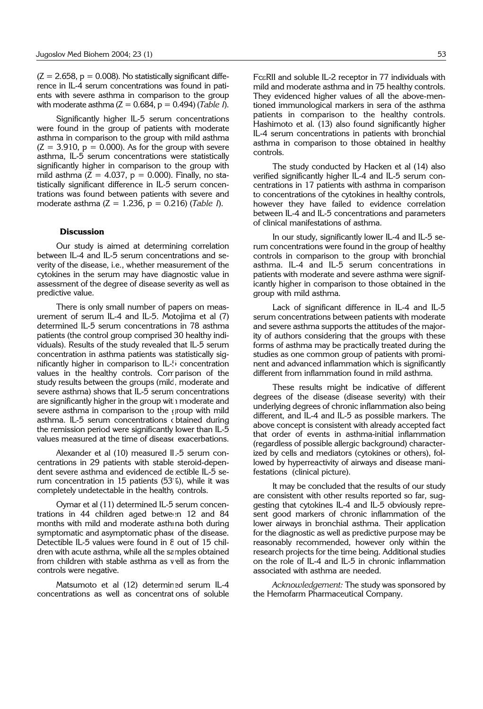$(Z = 2.658, p = 0.008)$ . No statistically significant difference in IL-4 serum concentrations was found in patients with severe asthma in comparison to the group with moderate asthma (Z = 0.684, p = 0.494) (*Table I*).

Significantly higher IL-5 serum concentrations were found in the group of patients with moderate asthma in comparison to the group with mild asthma  $(Z = 3.910, p = 0.000)$ . As for the group with severe asthma, IL-5 serum concentrations were statistically significantly higher in comparison to the group with mild asthma ( $\overline{Z} = 4.037$ ,  $p = 0.000$ ). Finally, no statistically significant difference in IL-5 serum concentrations was found between patients with severe and moderate asthma (Z = 1.236, p = 0.216) (*Table I*).

## **Discussion**

Our study is aimed at determining correlation between IL-4 and IL-5 serum concentrations and severity of the disease, i.e., whether measurement of the cytokines in the serum may have diagnostic value in assessment of the degree of disease severity as well as predictive value.

There is only small number of papers on measurement of serum IL-4 and IL-5. Motojima et al (7) determined IL-5 serum concentrations in 78 asthma patients (the control group comprised 30 healthy individuals). Results of the study revealed that IL-5 serum concentration in asthma patients was statistically significantly higher in comparison to  $IL-5$  concentration values in the healthy controls. Comparison of the study results between the groups (mild, moderate and severe asthma) shows that IL-5 serum concentrations are significantly higher in the group with moderate and severe asthma in comparison to the group with mild asthma. IL-5 serum concentrations obtained during the remission period were significantly lower than IL-5 values measured at the time of disease exacerbations.

Alexander et al (10) measured IL-5 serum concentrations in 29 patients with stable steroid-dependent severe asthma and evidenced detectible IL-5 serum concentration in 15 patients (53%), while it was completely undetectable in the healthy controls.

Oymar et al (11) determined IL-5 serum concentrations in 44 children aged between 12 and 84 months with mild and moderate asthina both during symptomatic and asymptomatic phase of the disease. Detectible IL-5 values were found in 8 out of 15 children with acute asthma, while all the samples obtained from children with stable asthma as well as from the controls were negative.

Matsumoto et al (12) determined serum IL-4 concentrations as well as concentrations of soluble FceRII and soluble IL-2 receptor in 77 individuals with mild and moderate asthma and in 75 healthy controls. They evidenced higher values of all the above-mentioned immunological markers in sera of the asthma patients in comparison to the healthy controls. Hashimoto et al. (13) also found significantly higher IL-4 serum concentrations in patients with bronchial asthma in comparison to those obtained in healthy controls.

The study conducted by Hacken et al (14) also verified significantly higher IL-4 and IL-5 serum concentrations in 17 patients with asthma in comparison to concentrations of the cytokines in healthy controls, however they have failed to evidence correlation between IL-4 and IL-5 concentrations and parameters of clinical manifestations of asthma.

In our study, significantly lower IL-4 and IL-5 serum concentrations were found in the group of healthy controls in comparison to the group with bronchial asthma. IL-4 and IL-5 serum concentrations in patients with moderate and severe asthma were significantly higher in comparison to those obtained in the group with mild asthma.

Lack of significant difference in IL-4 and IL-5 serum concentrations between patients with moderate and severe asthma supports the attitudes of the majority of authors considering that the groups with these forms of asthma may be practically treated during the studies as one common group of patients with prominent and advanced inflammation which is significantly different from inflammation found in mild asthma.

These results might be indicative of different degrees of the disease (disease severity) with their underlying degrees of chronic inflammation also being different, and IL-4 and IL-5 as possible markers. The above concept is consistent with already accepted fact that order of events in asthma-initial inflammation (regardless of possible allergic background) characterized by cells and mediators (cytokines or others), followed by hyperreactivity of airways and disease manifestations (clinical picture).

It may be concluded that the results of our study are consistent with other results reported so far, suggesting that cytokines IL-4 and IL-5 obviously represent good markers of chronic inflammation of the lower airways in bronchial asthma. Their application for the diagnostic as well as predictive purpose may be reasonably recommended, however only within the research projects for the time being. Additional studies on the role of IL-4 and IL-5 in chronic inflammation associated with asthma are needed.

*Acknowledgement:* The study was sponsored by the Hemofarm Pharmaceutical Company.